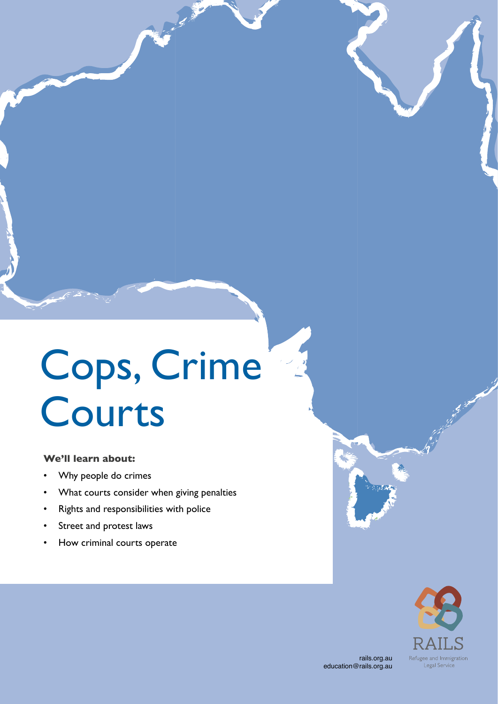# Cops, Crime Courts

### **We'll learn about:**

- Why people do crimes
- What courts consider when giving penalties
- Rights and responsibilities with police
- Street and protest laws
- How criminal courts operate

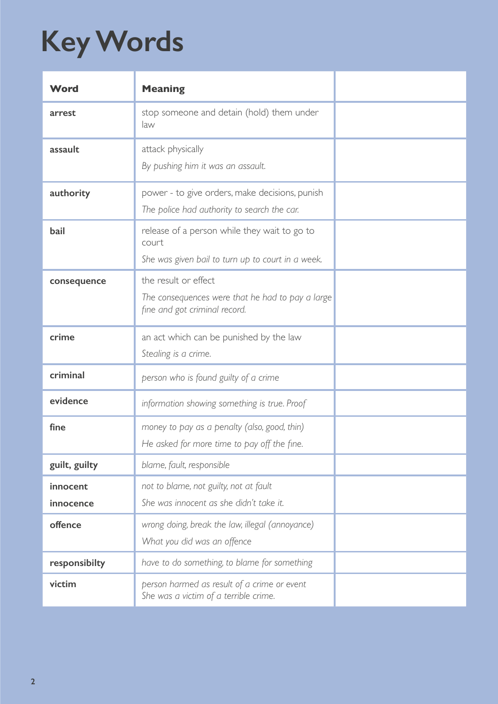# **Key Words**

| Word                  | <b>Meaning</b>                                                                                             |  |
|-----------------------|------------------------------------------------------------------------------------------------------------|--|
| arrest                | stop someone and detain (hold) them under<br>law                                                           |  |
| assault               | attack physically<br>By pushing him it was an assault.                                                     |  |
| authority             | power - to give orders, make decisions, punish<br>The police had authority to search the car.              |  |
| bail                  | release of a person while they wait to go to<br>court<br>She was given bail to turn up to court in a week. |  |
| consequence           | the result or effect<br>The consequences were that he had to pay a large<br>fine and got criminal record.  |  |
| crime                 | an act which can be punished by the law<br>Stealing is a crime.                                            |  |
| criminal              | person who is found guilty of a crime                                                                      |  |
| evidence              | information showing something is true. Proof                                                               |  |
| fine                  | money to pay as a penalty (also, good, thin)<br>He asked for more time to pay off the fine.                |  |
| guilt, guilty         | blame, fault, responsible                                                                                  |  |
| innocent<br>innocence | not to blame, not guilty, not at fault<br>She was innocent as she didn't take it.                          |  |
| offence               | wrong doing, break the law, illegal (annoyance)<br>What you did was an offence                             |  |
| responsibilty         | have to do something, to blame for something                                                               |  |
| victim                | person harmed as result of a crime or event<br>She was a victim of a terrible crime.                       |  |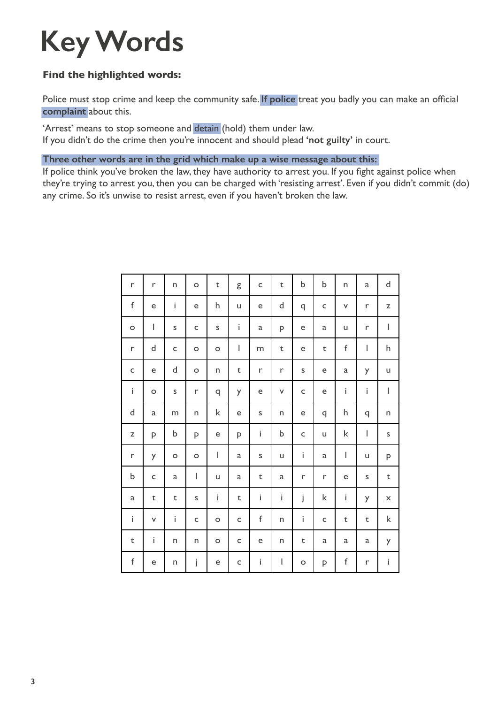### **Key Words**

### **Find the highlighted words:**

Police must stop crime and keep the community safe. **If police** treat you badly you can make an official **complaint** about this.

'Arrest' means to stop someone and detain (hold) them under law.

If you didn't do the crime then you're innocent and should plead **'not guilty'** in court.

**Three other words are in the grid which make up a wise message about this:**

If police think you've broken the law, they have authority to arrest you. If you fight against police when they're trying to arrest you, then you can be charged with 'resisting arrest'. Even if you didn't commit (do) any crime. So it's unwise to resist arrest, even if you haven't broken the law.

| r            | $\mathsf{r}$ | n       | $\circ$      | $\mathsf t$                                                                                                                                                                                                                                                                                                                                                                      | g           | $\mathsf{C}$ | $\mathsf t$                                                                                                                                                                                                                                                                                                                                                                      | b           | b            | n                              | $\mathbf{a}$                   | $\sf d$                                                                                                                                                                                                                                                                                                                                                                          |
|--------------|--------------|---------|--------------|----------------------------------------------------------------------------------------------------------------------------------------------------------------------------------------------------------------------------------------------------------------------------------------------------------------------------------------------------------------------------------|-------------|--------------|----------------------------------------------------------------------------------------------------------------------------------------------------------------------------------------------------------------------------------------------------------------------------------------------------------------------------------------------------------------------------------|-------------|--------------|--------------------------------|--------------------------------|----------------------------------------------------------------------------------------------------------------------------------------------------------------------------------------------------------------------------------------------------------------------------------------------------------------------------------------------------------------------------------|
| f            | e            | İ.      | e            | h                                                                                                                                                                                                                                                                                                                                                                                | u           | e            | $\mathsf{d}$                                                                                                                                                                                                                                                                                                                                                                     | q           | $\mathsf{C}$ | $\mathsf{V}$                   | r                              | $\mathsf Z$                                                                                                                                                                                                                                                                                                                                                                      |
| $\circ$      | I            | S       | C            | S                                                                                                                                                                                                                                                                                                                                                                                | İ.          | $\mathsf a$  | P                                                                                                                                                                                                                                                                                                                                                                                | e           | $\mathbf{a}$ | u                              | $\mathsf{r}$                   | $\begin{array}{c} \rule{0pt}{2.5ex} \rule{0pt}{2.5ex} \rule{0pt}{2.5ex} \rule{0pt}{2.5ex} \rule{0pt}{2.5ex} \rule{0pt}{2.5ex} \rule{0pt}{2.5ex} \rule{0pt}{2.5ex} \rule{0pt}{2.5ex} \rule{0pt}{2.5ex} \rule{0pt}{2.5ex} \rule{0pt}{2.5ex} \rule{0pt}{2.5ex} \rule{0pt}{2.5ex} \rule{0pt}{2.5ex} \rule{0pt}{2.5ex} \rule{0pt}{2.5ex} \rule{0pt}{2.5ex} \rule{0pt}{2.5ex} \rule{0$ |
| r            | þ            | C       | $\circ$      | $\circ$                                                                                                                                                                                                                                                                                                                                                                          | I           | m            | $\sf t$                                                                                                                                                                                                                                                                                                                                                                          | e           | $\mathsf t$  | $\mathsf f$                    | L                              | h                                                                                                                                                                                                                                                                                                                                                                                |
| $\mathsf{C}$ | e            | d       | $\circ$      | n                                                                                                                                                                                                                                                                                                                                                                                | t           | r            | r                                                                                                                                                                                                                                                                                                                                                                                | S           | e            | a                              | y                              | u                                                                                                                                                                                                                                                                                                                                                                                |
| $\mathbf i$  | $\circ$      | S       | r            | q                                                                                                                                                                                                                                                                                                                                                                                | y           | e            | $\checkmark$                                                                                                                                                                                                                                                                                                                                                                     | $\mathsf C$ | e            | $\mathbf i$                    | İ                              | $\begin{array}{c} \rule{0pt}{2.5ex} \rule{0pt}{2.5ex} \rule{0pt}{2.5ex} \rule{0pt}{2.5ex} \rule{0pt}{2.5ex} \rule{0pt}{2.5ex} \rule{0pt}{2.5ex} \rule{0pt}{2.5ex} \rule{0pt}{2.5ex} \rule{0pt}{2.5ex} \rule{0pt}{2.5ex} \rule{0pt}{2.5ex} \rule{0pt}{2.5ex} \rule{0pt}{2.5ex} \rule{0pt}{2.5ex} \rule{0pt}{2.5ex} \rule{0pt}{2.5ex} \rule{0pt}{2.5ex} \rule{0pt}{2.5ex} \rule{0$ |
| d            | a            | m       | n            | k                                                                                                                                                                                                                                                                                                                                                                                | e           | $\sf S$      | n                                                                                                                                                                                                                                                                                                                                                                                | e           | q            | h                              | q                              | n                                                                                                                                                                                                                                                                                                                                                                                |
| $\mathsf Z$  | P            | b       | P            | e                                                                                                                                                                                                                                                                                                                                                                                | P           | İ            | $\mathsf b$                                                                                                                                                                                                                                                                                                                                                                      | $\mathsf C$ | u            | $\mathsf k$                    | $\begin{array}{c} \end{array}$ | S                                                                                                                                                                                                                                                                                                                                                                                |
| $\mathsf{r}$ | y            | $\circ$ | $\circ$      | $\begin{array}{c} \rule{0pt}{2.5ex} \rule{0pt}{2.5ex} \rule{0pt}{2.5ex} \rule{0pt}{2.5ex} \rule{0pt}{2.5ex} \rule{0pt}{2.5ex} \rule{0pt}{2.5ex} \rule{0pt}{2.5ex} \rule{0pt}{2.5ex} \rule{0pt}{2.5ex} \rule{0pt}{2.5ex} \rule{0pt}{2.5ex} \rule{0pt}{2.5ex} \rule{0pt}{2.5ex} \rule{0pt}{2.5ex} \rule{0pt}{2.5ex} \rule{0pt}{2.5ex} \rule{0pt}{2.5ex} \rule{0pt}{2.5ex} \rule{0$ | a           | $\sf S$      | u                                                                                                                                                                                                                                                                                                                                                                                | i           | $\mathsf a$  | $\begin{array}{c} \end{array}$ | u                              | P                                                                                                                                                                                                                                                                                                                                                                                |
| b            | $\mathsf{C}$ | a       | I            | u                                                                                                                                                                                                                                                                                                                                                                                | a           | $\mathsf t$  | a                                                                                                                                                                                                                                                                                                                                                                                | r           | $\mathsf{r}$ | e                              | S                              | $\mathsf t$                                                                                                                                                                                                                                                                                                                                                                      |
| $\mathsf{a}$ | $\mathsf t$  | $\sf t$ | S            | İ                                                                                                                                                                                                                                                                                                                                                                                | t           | $\mathbf i$  | i                                                                                                                                                                                                                                                                                                                                                                                | j           | k            | $\mathbf i$                    | y                              | $\pmb{\times}$                                                                                                                                                                                                                                                                                                                                                                   |
| $\mathbf i$  | v            | i.      | $\mathsf{C}$ | $\circ$                                                                                                                                                                                                                                                                                                                                                                          | $\mathsf C$ | $\mathsf f$  | n                                                                                                                                                                                                                                                                                                                                                                                | İ           | $\mathsf{C}$ | t                              | $\mathsf t$                    | $\mathsf k$                                                                                                                                                                                                                                                                                                                                                                      |
| t            | İ.           | n       | n            | $\circ$                                                                                                                                                                                                                                                                                                                                                                          | C           | e            | n                                                                                                                                                                                                                                                                                                                                                                                | t           | a            | a                              | a                              | y                                                                                                                                                                                                                                                                                                                                                                                |
| $\mathsf f$  | e            | n       | j            | e                                                                                                                                                                                                                                                                                                                                                                                | C           | $\mathbf{i}$ | $\begin{array}{c} \rule{0pt}{2.5ex} \rule{0pt}{2.5ex} \rule{0pt}{2.5ex} \rule{0pt}{2.5ex} \rule{0pt}{2.5ex} \rule{0pt}{2.5ex} \rule{0pt}{2.5ex} \rule{0pt}{2.5ex} \rule{0pt}{2.5ex} \rule{0pt}{2.5ex} \rule{0pt}{2.5ex} \rule{0pt}{2.5ex} \rule{0pt}{2.5ex} \rule{0pt}{2.5ex} \rule{0pt}{2.5ex} \rule{0pt}{2.5ex} \rule{0pt}{2.5ex} \rule{0pt}{2.5ex} \rule{0pt}{2.5ex} \rule{0$ | $\circ$     | P            | f                              | $\Gamma$                       | $\mathbf{i}$                                                                                                                                                                                                                                                                                                                                                                     |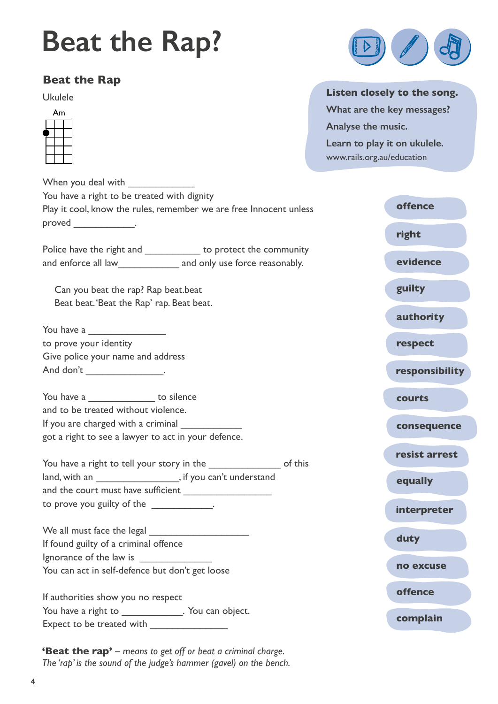### **[Beat the Rap?](http://www.rails.org.au/education/civics-education)**

### **Beat the Rap**

Ukulele



When you deal with You have a right to be treated with dignity Play it cool, know the rules, remember we are free Innocent unless proved \_\_\_\_\_\_\_\_\_\_\_\_.

Police have the right and \_\_\_\_\_\_\_\_\_\_\_\_\_ to protect the community and enforce all law and only use force reasonably.

Can you beat the rap? Rap beat.beat Beat beat. 'Beat the Rap' rap. Beat beat.

You have a to prove your identity Give police your name and address And don't \_\_\_\_\_\_\_\_\_\_\_\_\_\_\_\_\_\_.

You have a \_\_\_\_\_\_\_\_\_\_\_\_\_\_\_\_\_ to silence and to be treated without violence. If you are charged with a criminal

got a right to see a lawyer to act in your defence. You have a right to tell your story in the \_\_\_\_\_\_\_\_\_\_\_\_\_\_\_\_\_\_\_ of this land, with an \_\_\_\_\_\_\_\_\_\_\_\_\_\_\_\_, if you can't understand

and the court must have sufficient \_\_\_\_\_\_\_\_\_\_\_\_\_\_\_\_ to prove you guilty of the \_\_\_\_\_\_\_\_\_\_\_\_.

We all must face the legal If found guilty of a criminal offence Ignorance of the law is You can act in self-defence but don't get loose

If authorities show you no respect You have a right to Theorem 2011 . You can object. Expect to be treated with \_\_\_\_\_\_\_\_\_\_\_\_\_\_

**'Beat the rap'** – means to get off or beat a criminal charge. *The 'rap' is the sound of the judge's hammer (gavel) on the bench.*



### **Listen closely to the song.**

**What are the key messages? Analyse the music. Learn to play it on ukulele.**  [www.rails.org.au/education](http://www.rails.org.au/education/civics-education)

| <b>offence</b> |
|----------------|
| right          |
| evidence       |
| guilty         |
| authority      |
| respect        |
| responsibility |
| courts         |
| consequence    |
| resist arrest  |
| equally        |
| interpreter    |
| duty           |
| no excuse      |
| <b>offence</b> |
| complain       |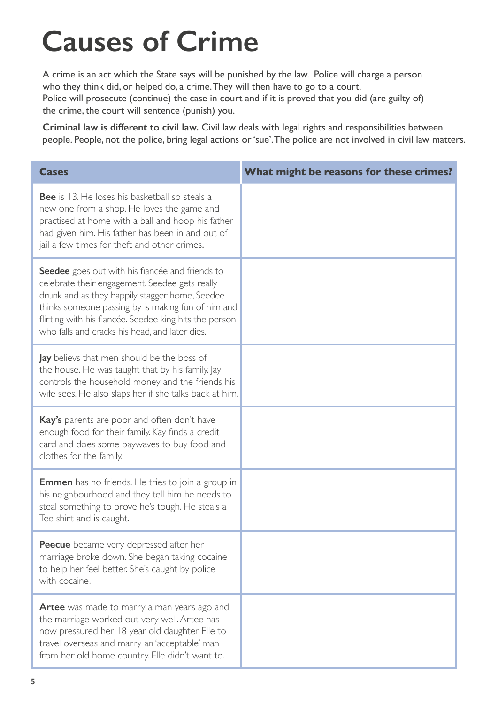# **Causes of Crime**

A crime is an act which the State says will be punished by the law. Police will charge a person who they think did, or helped do, a crime. They will then have to go to a court. Police will prosecute (continue) the case in court and if it is proved that you did (are guilty of) the crime, the court will sentence (punish) you.

**Criminal law is different to civil law.** Civil law deals with legal rights and responsibilities between people. People, not the police, bring legal actions or 'sue'. The police are not involved in civil law matters.

| <b>Cases</b>                                                                                                                                                                                                                                                                                                                 | What might be reasons for these crimes? |
|------------------------------------------------------------------------------------------------------------------------------------------------------------------------------------------------------------------------------------------------------------------------------------------------------------------------------|-----------------------------------------|
| <b>Bee</b> is 13. He loses his basketball so steals a<br>new one from a shop. He loves the game and<br>practised at home with a ball and hoop his father<br>had given him. His father has been in and out of<br>jail a few times for theft and other crimes.                                                                 |                                         |
| <b>Seedee</b> goes out with his flancée and friends to<br>celebrate their engagement. Seedee gets really<br>drunk and as they happily stagger home, Seedee<br>thinks someone passing by is making fun of him and<br>flirting with his fiancée. Seedee king hits the person<br>who falls and cracks his head, and later dies. |                                         |
| <b>Jay</b> believs that men should be the boss of<br>the house. He was taught that by his family. Jay<br>controls the household money and the friends his<br>wife sees. He also slaps her if she talks back at him.                                                                                                          |                                         |
| Kay's parents are poor and often don't have<br>enough food for their family. Kay finds a credit<br>card and does some paywaves to buy food and<br>clothes for the family.                                                                                                                                                    |                                         |
| <b>Emmen</b> has no friends. He tries to join a group in<br>his neighbourhood and they tell him he needs to<br>steal something to prove he's tough. He steals a<br>Tee shirt and is caught.                                                                                                                                  |                                         |
| Peecue became very depressed after her<br>marriage broke down. She began taking cocaine<br>to help her feel better. She's caught by police<br>with cocaine.                                                                                                                                                                  |                                         |
| <b>Artee</b> was made to marry a man years ago and<br>the marriage worked out very well. Artee has<br>now pressured her 18 year old daughter Elle to<br>travel overseas and marry an 'acceptable' man<br>from her old home country. Elle didn't want to.                                                                     |                                         |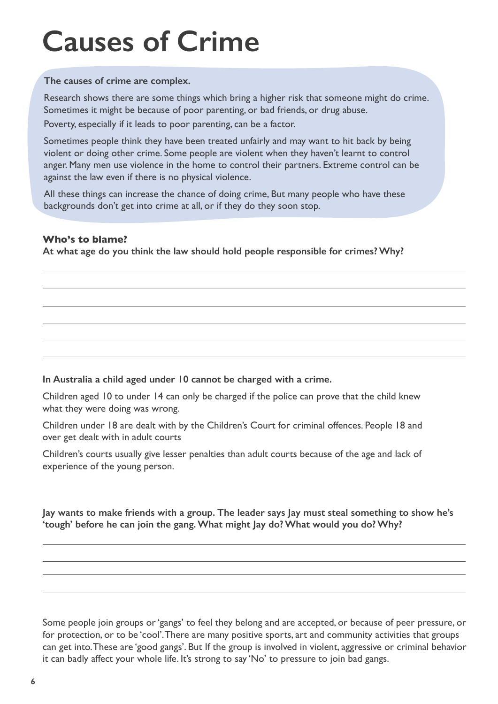## **Causes of Crime**

**The causes of crime are complex.**

Research shows there are some things which bring a higher risk that someone might do crime. Sometimes it might be because of poor parenting, or bad friends, or drug abuse.

Poverty, especially if it leads to poor parenting, can be a factor.

Sometimes people think they have been treated unfairly and may want to hit back by being violent or doing other crime. Some people are violent when they haven't learnt to control anger. Many men use violence in the home to control their partners. Extreme control can be against the law even if there is no physical violence.

All these things can increase the chance of doing crime, But many people who have these backgrounds don't get into crime at all, or if they do they soon stop.

### **Who's to blame?**

**At what age do you think the law should hold people responsible for crimes? Why?**

### **In Australia a child aged under 10 cannot be charged with a crime.**

Children aged 10 to under 14 can only be charged if the police can prove that the child knew what they were doing was wrong.

Children under 18 are dealt with by the Children's Court for criminal offences. People 18 and over get dealt with in adult courts

Children's courts usually give lesser penalties than adult courts because of the age and lack of experience of the young person.

**Jay wants to make friends with a group. The leader says Jay must steal something to show he's 'tough' before he can join the gang. What might Jay do? What would you do? Why?**

Some people join groups or 'gangs' to feel they belong and are accepted, or because of peer pressure, or for protection, or to be 'cool'. There are many positive sports, art and community activities that groups can get into. These are 'good gangs'. But If the group is involved in violent, aggressive or criminal behavior it can badly affect your whole life. It's strong to say 'No' to pressure to join bad gangs.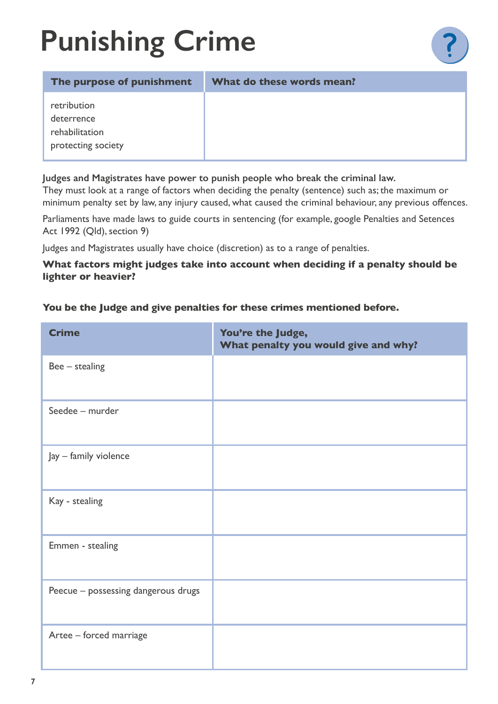# **Punishing Crime**

| The purpose of punishment                                         | What do these words mean? |
|-------------------------------------------------------------------|---------------------------|
| retribution<br>deterrence<br>rehabilitation<br>protecting society |                           |

### **Judges and Magistrates have power to punish people who break the criminal law.**

They must look at a range of factors when deciding the penalty (sentence) such as; the maximum or minimum penalty set by law, any injury caused, what caused the criminal behaviour, any previous offences.

Parliaments have made laws to guide courts in sentencing (for example, google Penalties and Setences Act 1992 (Qld), section 9)

Judges and Magistrates usually have choice (discretion) as to a range of penalties.

### **What factors might judges take into account when deciding if a penalty should be lighter or heavier?**

### **You be the Judge and give penalties for these crimes mentioned before.**

| <b>Crime</b>                        | You're the Judge,<br>What penalty you would give and why? |
|-------------------------------------|-----------------------------------------------------------|
| $Bee -$ stealing                    |                                                           |
| Seedee - murder                     |                                                           |
| Jay - family violence               |                                                           |
| Kay - stealing                      |                                                           |
| Emmen - stealing                    |                                                           |
| Peecue - possessing dangerous drugs |                                                           |
| Artee - forced marriage             |                                                           |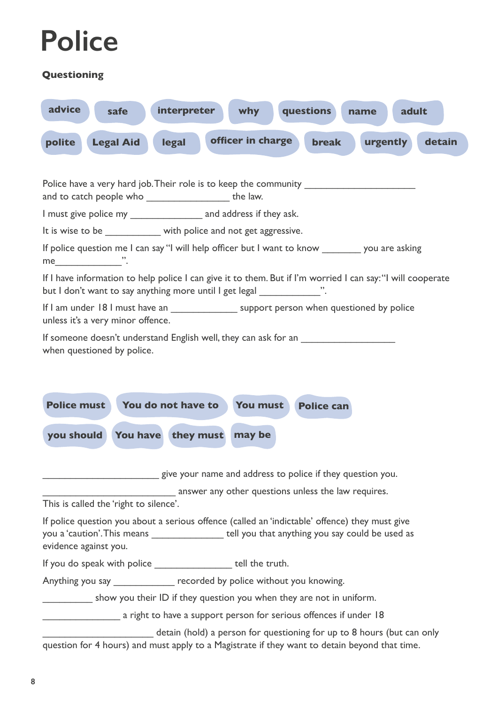### **Police**

### **Questioning**

| advice                                                                                                                                         |                                                                                               | safe             | interpreter                                                                                                                                                                                       |  | <b>why</b>                                                 |  | questions         | name | adult    |        |
|------------------------------------------------------------------------------------------------------------------------------------------------|-----------------------------------------------------------------------------------------------|------------------|---------------------------------------------------------------------------------------------------------------------------------------------------------------------------------------------------|--|------------------------------------------------------------|--|-------------------|------|----------|--------|
| polite                                                                                                                                         |                                                                                               | <b>Legal Aid</b> | legal                                                                                                                                                                                             |  | officer in charge                                          |  | <b>break</b>      |      | urgently | detain |
|                                                                                                                                                |                                                                                               |                  |                                                                                                                                                                                                   |  |                                                            |  |                   |      |          |        |
| Police have a very hard job. Their role is to keep the community ________________<br>and to catch people who ________________________ the law. |                                                                                               |                  |                                                                                                                                                                                                   |  |                                                            |  |                   |      |          |        |
|                                                                                                                                                | I must give police my _____________________ and address if they ask.                          |                  |                                                                                                                                                                                                   |  |                                                            |  |                   |      |          |        |
|                                                                                                                                                |                                                                                               |                  | It is wise to be with police and not get aggressive.                                                                                                                                              |  |                                                            |  |                   |      |          |        |
| me ".                                                                                                                                          |                                                                                               |                  | If police question me I can say "I will help officer but I want to know ________ you are asking                                                                                                   |  |                                                            |  |                   |      |          |        |
|                                                                                                                                                |                                                                                               |                  | If I have information to help police I can give it to them. But if I'm worried I can say: "I will cooperate<br>but I don't want to say anything more until I get legal _______________".          |  |                                                            |  |                   |      |          |        |
| unless it's a very minor offence.                                                                                                              |                                                                                               |                  | If I am under 18 I must have an _____________________ support person when questioned by police                                                                                                    |  |                                                            |  |                   |      |          |        |
|                                                                                                                                                | If someone doesn't understand English well, they can ask for an<br>when questioned by police. |                  |                                                                                                                                                                                                   |  |                                                            |  |                   |      |          |        |
| <b>Police must</b>                                                                                                                             |                                                                                               |                  | You do not have to                                                                                                                                                                                |  | You must                                                   |  | <b>Police can</b> |      |          |        |
| you should                                                                                                                                     |                                                                                               |                  | You have they must                                                                                                                                                                                |  | may be                                                     |  |                   |      |          |        |
|                                                                                                                                                |                                                                                               |                  |                                                                                                                                                                                                   |  | give your name and address to police if they question you. |  |                   |      |          |        |
|                                                                                                                                                |                                                                                               |                  |                                                                                                                                                                                                   |  | answer any other questions unless the law requires.        |  |                   |      |          |        |
| This is called the 'right to silence'.                                                                                                         |                                                                                               |                  |                                                                                                                                                                                                   |  |                                                            |  |                   |      |          |        |
| evidence against you.                                                                                                                          |                                                                                               |                  | If police question you about a serious offence (called an 'indictable' offence) they must give<br>you a 'caution'. This means ___________________ tell you that anything you say could be used as |  |                                                            |  |                   |      |          |        |
|                                                                                                                                                |                                                                                               |                  | If you do speak with police ____________________ tell the truth.                                                                                                                                  |  |                                                            |  |                   |      |          |        |
|                                                                                                                                                |                                                                                               |                  | Anything you say _____________ recorded by police without you knowing.                                                                                                                            |  |                                                            |  |                   |      |          |        |
|                                                                                                                                                |                                                                                               |                  | show you their ID if they question you when they are not in uniform.                                                                                                                              |  |                                                            |  |                   |      |          |        |
|                                                                                                                                                |                                                                                               |                  | a right to have a support person for serious offences if under 18                                                                                                                                 |  |                                                            |  |                   |      |          |        |
|                                                                                                                                                |                                                                                               |                  | detain (hold) a person for questioning for up to 8 hours (but can only<br>question for 4 hours) and must apply to a Magistrate if they want to detain beyond that time.                           |  |                                                            |  |                   |      |          |        |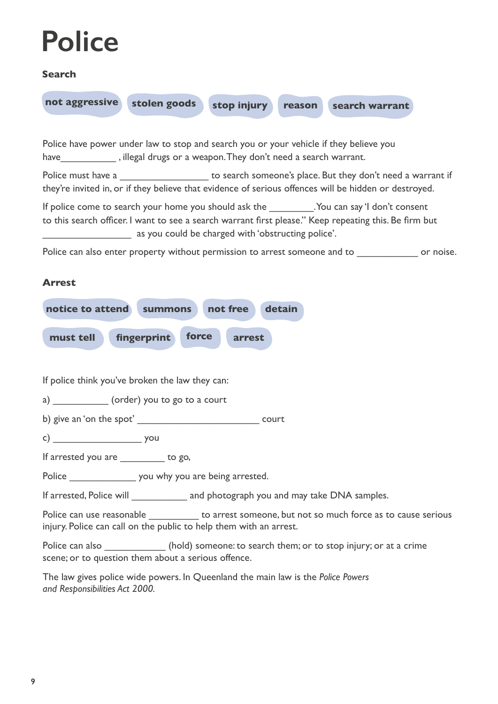### **Police**

### **Search**



*and Responsibilities Act 2000.*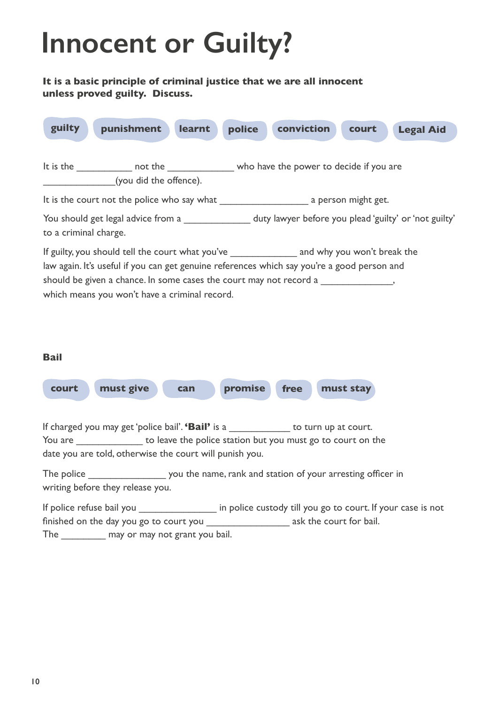### **Innocent or Guilty?**

### **It is a basic principle of criminal justice that we are all innocent unless proved guilty. Discuss.**



The may or may not grant you bail.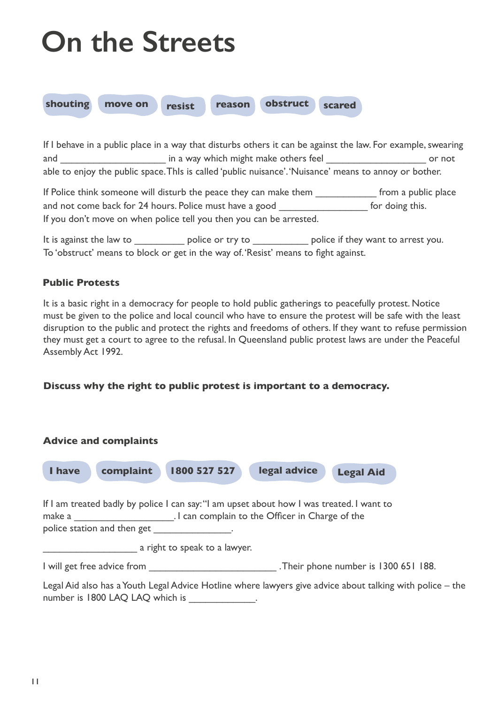# **On the Streets**



If I behave in a public place in a way that disturbs others it can be against the law. For example, swearing and \_\_\_\_\_\_\_\_\_\_\_\_\_\_\_\_\_\_\_\_\_\_\_\_\_\_\_ in a way which might make others feel \_\_\_\_\_\_\_\_\_\_\_\_\_\_\_\_\_\_\_\_\_\_\_\_\_\_\_\_ or not able to enjoy the public space. ThIs is called 'public nuisance'. 'Nuisance' means to annoy or bother.

If Police think someone will disturb the peace they can make them **Fig. 1.1 From a public place** and not come back for 24 hours. Police must have a good for doing this. If you don't move on when police tell you then you can be arrested.

It is against the law to \_\_\_\_\_\_\_\_\_\_\_\_\_ police or try to \_\_\_\_\_\_\_\_\_\_\_\_\_ police if they want to arrest you. To 'obstruct' means to block or get in the way of. 'Resist' means to fight against.

### **Public Protests**

It is a basic right in a democracy for people to hold public gatherings to peacefully protest. Notice must be given to the police and local council who have to ensure the protest will be safe with the least disruption to the public and protect the rights and freedoms of others. If they want to refuse permission they must get a court to agree to the refusal. In Queensland public protest laws are under the Peaceful Assembly Act 1992.

**Discuss why the right to public protest is important to a democracy.**

|        | <b>Advice and complaints</b>    |                                                                                                                                                                           |              |                                                                                                           |  |
|--------|---------------------------------|---------------------------------------------------------------------------------------------------------------------------------------------------------------------------|--------------|-----------------------------------------------------------------------------------------------------------|--|
| I have | complaint                       | 1800 527 527                                                                                                                                                              | legal advice | <b>Legal Aid</b>                                                                                          |  |
|        | police station and then get     | If I am treated badly by police I can say: "I am upset about how I was treated. I want to<br>make a make a make a measure of the Complain to the Officer in Charge of the |              |                                                                                                           |  |
|        |                                 | a right to speak to a lawyer.                                                                                                                                             |              |                                                                                                           |  |
|        | I will get free advice from     |                                                                                                                                                                           |              | .Their phone number is 1300 651 188.                                                                      |  |
|        | number is 1800 LAQ LAQ which is |                                                                                                                                                                           |              | Legal Aid also has a Youth Legal Advice Hotline where lawyers give advice about talking with police – the |  |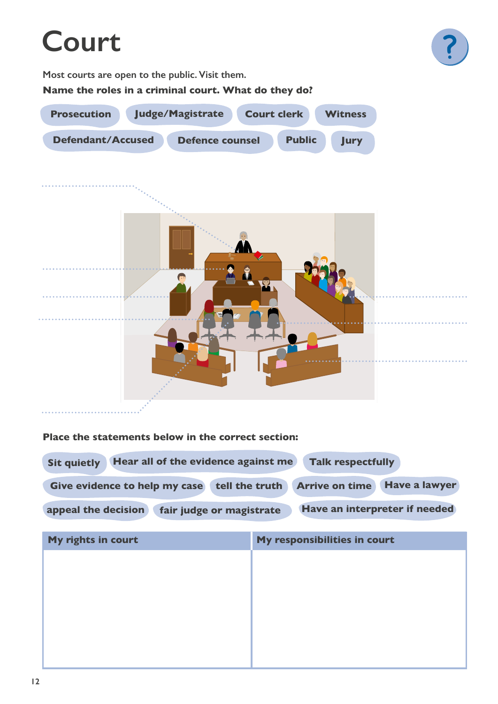### **Court**



**Most courts are open to the public. Visit them.** 

**Name the roles in a criminal court. What do they do?**



#### **Place the statements below in the correct section:**

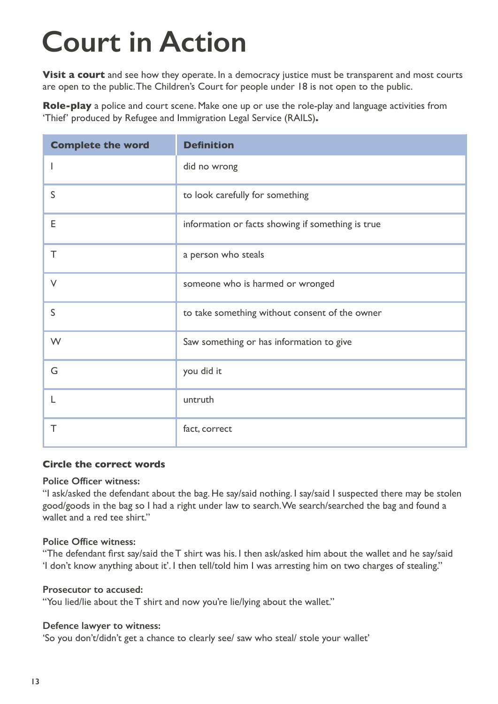# **Court in Action**

**Visit a court** and see how they operate. In a democracy justice must be transparent and most courts are open to the public. The Children's Court for people under 18 is not open to the public.

**Role-play** a police and court scene. Make one up or use the role-play and language activities from '[Thief](https://www.rails.org.au/education/civics-education)' produced by Refugee and Immigration Legal Service (RAILS)**.** 

| <b>Complete the word</b> | <b>Definition</b>                                 |  |  |
|--------------------------|---------------------------------------------------|--|--|
|                          | did no wrong                                      |  |  |
| $\mathsf{S}$             | to look carefully for something                   |  |  |
| E                        | information or facts showing if something is true |  |  |
| T                        | a person who steals                               |  |  |
| $\vee$                   | someone who is harmed or wronged                  |  |  |
| S                        | to take something without consent of the owner    |  |  |
| W                        | Saw something or has information to give          |  |  |
| G                        | you did it                                        |  |  |
| L                        | untruth                                           |  |  |
| Τ                        | fact, correct                                     |  |  |

#### **Circle the correct words**

### **Police Officer witness:**

"I ask/asked the defendant about the bag. He say/said nothing. I say/said I suspected there may be stolen good/goods in the bag so I had a right under law to search. We search/searched the bag and found a wallet and a red tee shirt"

### **Police Office witness:**

"The defendant first say/said the T shirt was his. I then ask/asked him about the wallet and he say/said 'I don't know anything about it'. I then tell/told him I was arresting him on two charges of stealing."

#### **Prosecutor to accused:**

"You lied/lie about the T shirt and now you're lie/lying about the wallet."

#### **Defence lawyer to witness:**

'So you don't/didn't get a chance to clearly see/ saw who steal/ stole your wallet'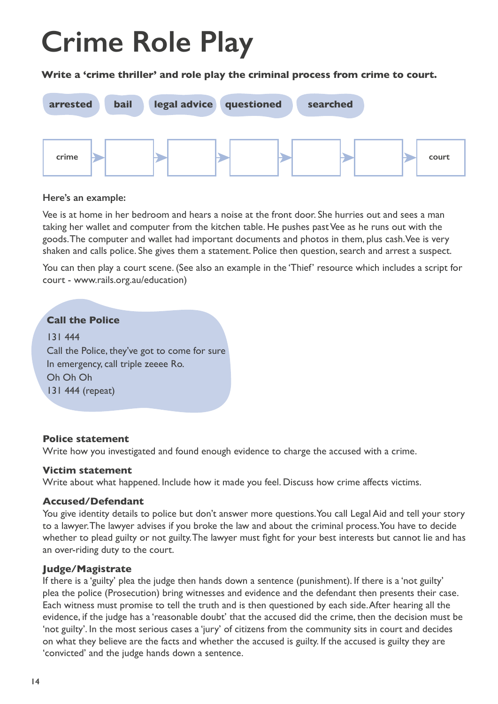# **Crime Role Play**

**Write a 'crime thriller' and role play the criminal process from crime to court.**



### **Here's an example:**

Vee is at home in her bedroom and hears a noise at the front door. She hurries out and sees a man taking her wallet and computer from the kitchen table. He pushes past Vee as he runs out with the goods. The computer and wallet had important documents and photos in them, plus cash. Vee is very shaken and calls police. She gives them a statement. Police then question, search and arrest a suspect.

You can then play a court scene. (See also an example in the 'Thief' resource which includes a script for court - www.rails.org.au/education)

### **Call the Police**

131 444 Call the Police, they've got to come for sure In emergency, call triple zeeee Ro. Oh Oh Oh 131 444 (repeat)

### **Police statement**

Write how you investigated and found enough evidence to charge the accused with a crime.

### **Victim statement**

Write about what happened. Include how it made you feel. Discuss how crime affects victims.

### **Accused/Defendant**

You give identity details to police but don't answer more questions. You call Legal Aid and tell your story to a lawyer. The lawyer advises if you broke the law and about the criminal process. You have to decide whether to plead guilty or not guilty. The lawyer must fight for your best interests but cannot lie and has an over-riding duty to the court.

### **Judge/Magistrate**

If there is a 'guilty' plea the judge then hands down a sentence (punishment). If there is a 'not guilty' plea the police (Prosecution) bring witnesses and evidence and the defendant then presents their case. Each witness must promise to tell the truth and is then questioned by each side. After hearing all the evidence, if the judge has a 'reasonable doubt' that the accused did the crime, then the decision must be 'not guilty'. In the most serious cases a 'jury' of citizens from the community sits in court and decides on what they believe are the facts and whether the accused is guilty. If the accused is guilty they are 'convicted' and the judge hands down a sentence.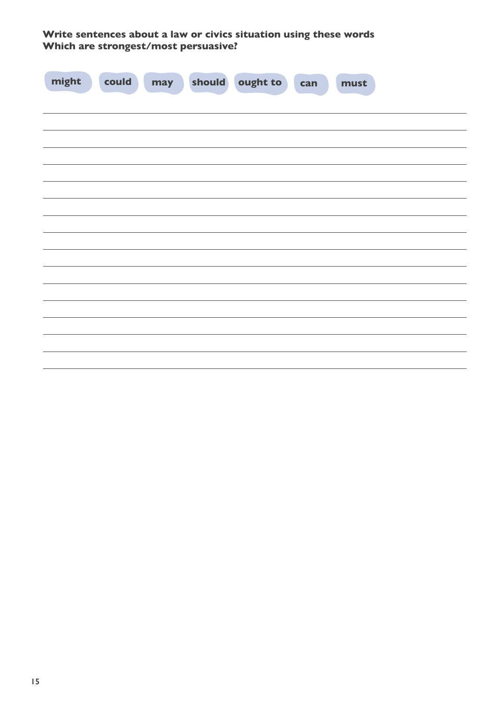**Write sentences about a law or civics situation using these words Which are strongest/most persuasive?**

| might<br>could<br>$\mathcal{L}(\mathcal{A})$ | may | should ought to<br>can | must |
|----------------------------------------------|-----|------------------------|------|
|                                              |     |                        |      |
|                                              |     |                        |      |
|                                              |     |                        |      |
|                                              |     |                        |      |
|                                              |     |                        |      |
|                                              |     |                        |      |
|                                              |     |                        |      |
|                                              |     |                        |      |
|                                              |     |                        |      |
|                                              |     |                        |      |
|                                              |     |                        |      |
|                                              |     |                        |      |
|                                              |     |                        |      |